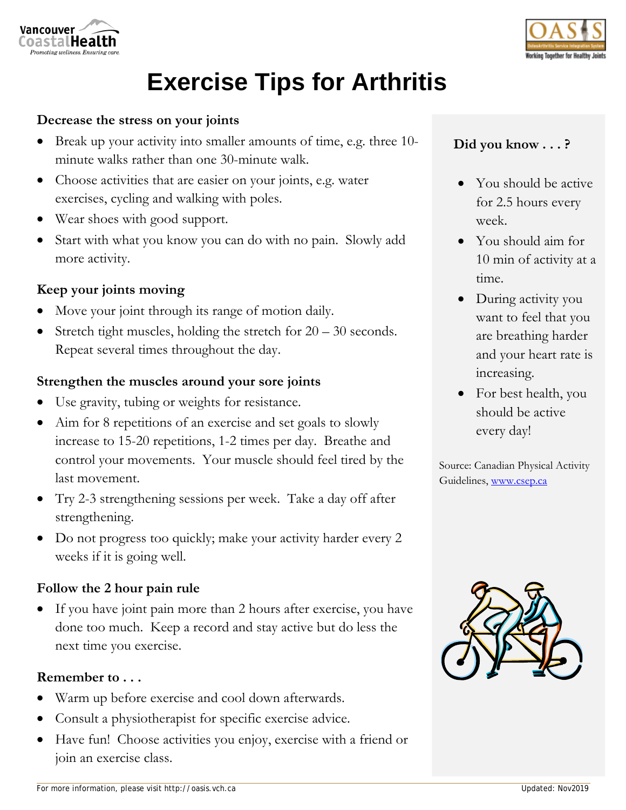



# **Exercise Tips for Arthritis**

### **Decrease the stress on your joints**

- Break up your activity into smaller amounts of time, e.g. three 10 minute walks rather than one 30-minute walk.
- Choose activities that are easier on your joints, e.g. water exercises, cycling and walking with poles.
- Wear shoes with good support.
- Start with what you know you can do with no pain. Slowly add more activity.

## **Keep your joints moving**

- Move your joint through its range of motion daily.
- Stretch tight muscles, holding the stretch for  $20 30$  seconds. Repeat several times throughout the day.

## **Strengthen the muscles around your sore joints**

- Use gravity, tubing or weights for resistance.
- Aim for 8 repetitions of an exercise and set goals to slowly increase to 15-20 repetitions, 1-2 times per day. Breathe and control your movements. Your muscle should feel tired by the last movement.
- Try 2-3 strengthening sessions per week. Take a day off after strengthening.
- Do not progress too quickly; make your activity harder every 2 weeks if it is going well.

#### **Follow the 2 hour pain rule**

 If you have joint pain more than 2 hours after exercise, you have done too much. Keep a record and stay active but do less the next time you exercise.

#### **Remember to . . .**

- Warm up before exercise and cool down afterwards.
- Consult a physiotherapist for specific exercise advice.
- Have fun! Choose activities you enjoy, exercise with a friend or join an exercise class.

# **Did you know . . . ?**

- You should be active for 2.5 hours every week.
- You should aim for 10 min of activity at a time.
- During activity you want to feel that you are breathing harder and your heart rate is increasing.
- For best health, you should be active every day!

Source: Canadian Physical Activity Guidelines, www.csep.ca